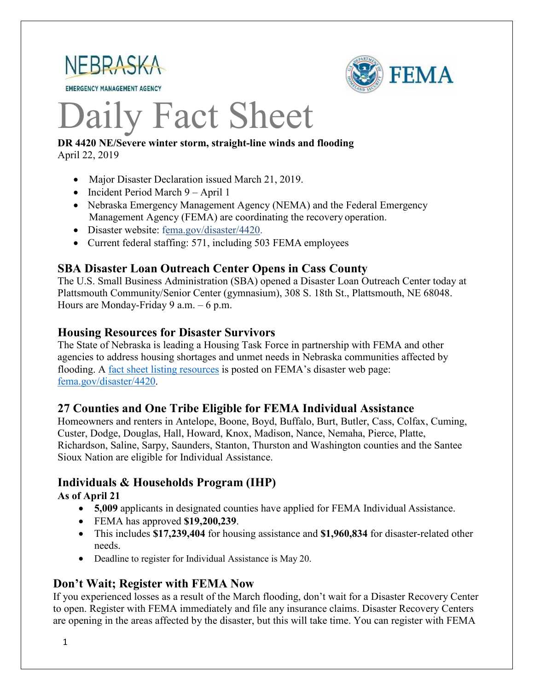

**EMERGENCY MANAGEMENT AGENCY** 



# Daily Fact Sheet

#### **DR 4420 NE/Severe winter storm, straight-line winds and flooding** April 22, 2019

- Major Disaster Declaration issued March 21, 2019.
- Incident Period March 9 April 1
- Nebraska Emergency Management Agency (NEMA) and the Federal Emergency Management Agency (FEMA) are coordinating the recovery operation.
- Disaster websit[e: fema.gov/disaster/4420.](https://www.fema.gov/disaster/4420)
- Current federal staffing: 571, including 503 FEMA employees

#### **SBA Disaster Loan Outreach Center Opens in Cass County**

The U.S. Small Business Administration (SBA) opened a Disaster Loan Outreach Center today at Plattsmouth Community/Senior Center (gymnasium), 308 S. 18th St., Plattsmouth, NE 68048. Hours are Monday-Friday 9 a.m. – 6 p.m.

#### **Housing Resources for Disaster Survivors**

The State of Nebraska is leading a Housing Task Force in partnership with FEMA and other agencies to address housing shortages and unmet needs in Nebraska communities affected by flooding. A [fact sheet listing resources](https://edit.fema.gov/news-release/2019/04/19/fact-sheet-housing-resources-residents-nebraska-affected-march-storms-0) is posted on FEMA's disaster web page: [fema.gov/disaster/4420.](http://www.fema.gov/disaster/4420)

#### **27 Counties and One Tribe Eligible for FEMA Individual Assistance**

Homeowners and renters in Antelope, Boone, Boyd, Buffalo, Burt, Butler, Cass, Colfax, Cuming, Custer, Dodge, Douglas, Hall, Howard, Knox, Madison, Nance, Nemaha, Pierce, Platte, Richardson, Saline, Sarpy, Saunders, Stanton, Thurston and Washington counties and the Santee Sioux Nation are eligible for Individual Assistance.

#### **Individuals & Households Program (IHP)**

**As of April 21** 

- **5,009** applicants in designated counties have applied for FEMA Individual Assistance.
- FEMA has approved **\$19,200,239**.
- This includes **\$17,239,404** for housing assistance and **\$1,960,834** for disaster-related other needs.
- Deadline to register for Individual Assistance is May 20.

#### **Don't Wait; Register with FEMA Now**

If you experienced losses as a result of the March flooding, don't wait for a Disaster Recovery Center to open. Register with FEMA immediately and file any insurance claims. Disaster Recovery Centers are opening in the areas affected by the disaster, but this will take time. You can register with FEMA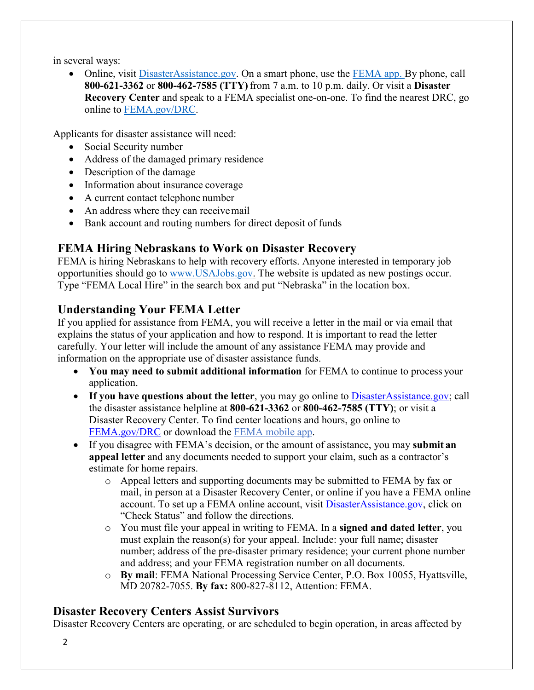in several ways:

• Online, visit [DisasterAssistance.gov.](https://disasterassistance.gov/) On a smart phone, use the [FEMA app.](https://www.fema.gov/mobile-app) By phone, call **800-621-3362** or **800-462-7585 (TTY)** from 7 a.m. to 10 p.m. daily. Or visit a **Disaster Recovery Center** and speak to a FEMA specialist one-on-one. To find the nearest DRC, go online to [FEMA.gov/DRC.](http://www.fema.gov/DRC)

Applicants for disaster assistance will need:

- Social Security number
- Address of the damaged primary residence
- Description of the damage
- Information about insurance coverage
- A current contact telephone number
- An address where they can receive mail
- Bank account and routing numbers for direct deposit of funds

# **FEMA Hiring Nebraskans to Work on Disaster Recovery**

FEMA is hiring Nebraskans to help with recovery efforts. Anyone interested in temporary job opportunities should go to [www.USAJobs.gov.](http://www.usajobs.gov/) The website is updated as new postings occur. Type "FEMA Local Hire" in the search box and put "Nebraska" in the location box.

# **Understanding Your FEMA Letter**

If you applied for assistance from FEMA, you will receive a letter in the mail or via email that explains the status of your application and how to respond. It is important to read the letter carefully. Your letter will include the amount of any assistance FEMA may provide and information on the appropriate use of disaster assistance funds.

- **You may need to submit additional information** for FEMA to continue to process your application.
- If you have questions about the letter, you may go online to [DisasterAssistance.gov;](http://www.disasterassistance.gov/) call the disaster assistance helpline at **800-621-3362** or **800-462-7585 (TTY)**; or visit a Disaster Recovery Center. To find center locations and hours, go online t[o](https://www.fema.gov/disaster-recovery-centers) [FEMA.gov/DRC](https://www.fema.gov/disaster-recovery-centers) or download the [FEMA mobile](https://www.fema.gov/mobile-app) app.
- If you disagree with FEMA's decision, or the amount of assistance, you may **submit an appeal letter** and any documents needed to support your claim, such as a contractor's estimate for home repairs.
	- o Appeal letters and supporting documents may be submitted to FEMA by fax or mail, in person at a Disaster Recovery Center, or online if you have a FEMA online account. To set up a FEMA online account, visit [DisasterAssistance.gov, c](http://www.disasterassistance.gov/)lick on "Check Status" and follow the directions.
	- o You must file your appeal in writing to FEMA. In a **signed and dated letter**, you must explain the reason(s) for your appeal. Include: your full name; disaster number; address of the pre-disaster primary residence; your current phone number and address; and your FEMA registration number on all documents.
	- o **By mail**: FEMA National Processing Service Center, P.O. Box 10055, Hyattsville, MD 20782-7055. **By fax:** 800-827-8112, Attention: FEMA.

# **Disaster Recovery Centers Assist Survivors**

Disaster Recovery Centers are operating, or are scheduled to begin operation, in areas affected by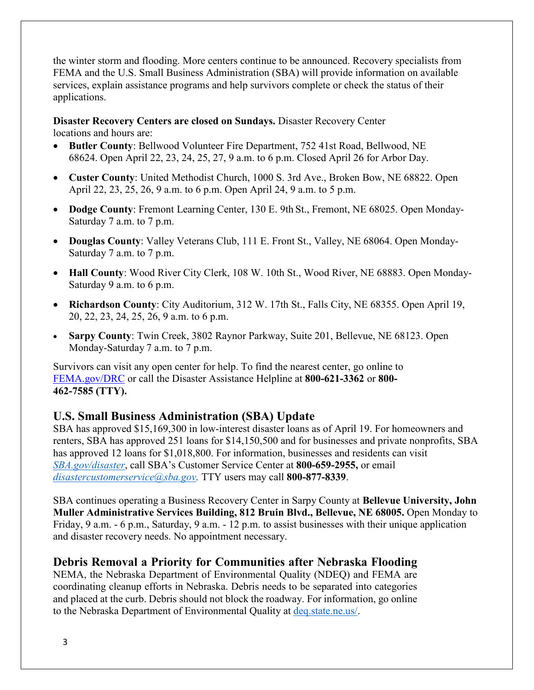the winter storm and flooding. More centers continue to be announced. Recovery specialists from FEMA and the U.S. Small Business Administration (SBA) will provide information on available services, explain assistance programs and help survivors complete or check the status of their applications.

#### **Disaster Recovery Centers are closed on Sundays.** Disaster Recovery Center locations and hours are:

- **Butler County**: Bellwood Volunteer Fire Department, 752 41st Road, Bellwood, NE 68624. Open April 22, 23, 24, 25, 27, 9 a.m. to 6 p.m. Closed April 26 for Arbor Day.
- **Custer County**: United Methodist Church, 1000 S. 3rd Ave., Broken Bow, NE 68822. Open April 22, 23, 25, 26, 9 a.m. to 6 p.m. Open April 24, 9 a.m. to 5 p.m.
- **Dodge County**: Fremont Learning Center, 130 E. 9th St., Fremont, NE 68025. Open Monday-Saturday 7 a.m. to 7 p.m.
- **Douglas County**: Valley Veterans Club, 111 E. Front St., Valley, NE 68064. Open Monday-Saturday 7 a.m. to 7 p.m.
- **Hall County**: Wood River City Clerk, 108 W. 10th St., Wood River, NE 68883. Open Monday-Saturday 9 a.m. to 6 p.m.
- **Richardson County**: City Auditorium, 312 W. 17th St., Falls City, NE 68355. Open April 19, 20, 22, 23, 24, 25, 26, 9 a.m. to 6 p.m.
- **Sarpy County**: Twin Creek, 3802 Raynor Parkway, Suite 201, Bellevue, NE 68123. Open Monday-Saturday 7 a.m. to 7 p.m.

Survivors can visit any open center for help. To find the nearest center, go online to [FEMA.gov/DRC](http://www.fema.gov/DRC) or call the Disaster Assistance Helpline at **800-621-3362** or **800- 462-7585 (TTY).**

# **U.S. Small Business Administration (SBA) Update**

SBA has approved \$15,169,300 in low-interest disaster loans as of April 19. For homeowners and renters, SBA has approved 251 loans for \$14,150,500 and for businesses and private nonprofits, SBA has approved 12 loans for \$1,018,800. For information, businesses and residents can visit *[SBA.gov/disaster](http://www.sba.gov/disaster)*, call SBA's Customer Service Center at **800-659-2955,** or email *[disastercustomerservice@sba.gov.](mailto:disastercustomerservice@sba.gov)* TTY users may call **800-877-8339**.

SBA continues operating a Business Recovery Center in Sarpy County at **Bellevue University, John Muller Administrative Services Building, 812 Bruin Blvd., Bellevue, NE 68005.** Open Monday to Friday, 9 a.m. - 6 p.m., Saturday, 9 a.m. - 12 p.m. to assist businesses with their unique application and disaster recovery needs. No appointment necessary.

# **Debris Removal a Priority for Communities after Nebraska Flooding**

NEMA, the Nebraska Department of Environmental Quality (NDEQ) and FEMA are coordinating cleanup efforts in Nebraska. Debris needs to be separated into categories and placed at the curb. Debris should not block the roadway. For information, go online to the Nebraska Department of Environmental Quality at [deq.state.ne.us/.](http://www.deq.state.ne.us/)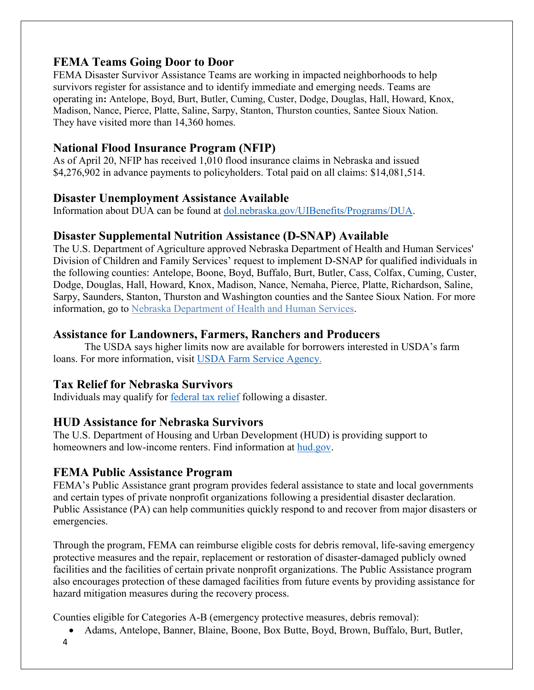# **FEMA Teams Going Door to Door**

FEMA Disaster Survivor Assistance Teams are working in impacted neighborhoods to help survivors register for assistance and to identify immediate and emerging needs. Teams are operating in**:** Antelope, Boyd, Burt, Butler, Cuming, Custer, Dodge, Douglas, Hall, Howard, Knox, Madison, Nance, Pierce, Platte, Saline, Sarpy, Stanton, Thurston counties, Santee Sioux Nation. They have visited more than 14,360 homes.

# **National Flood Insurance Program (NFIP)**

As of April 20, NFIP has received 1,010 flood insurance claims in Nebraska and issued \$4,276,902 in advance payments to policyholders. Total paid on all claims: \$14,081,514.

#### **Disaster Unemployment Assistance Available**

Information about DUA can be found at [dol.nebraska.gov/UIBenefits/Programs/DUA.](https://dol.nebraska.gov/UIBenefits/Programs/DUA)

#### **Disaster Supplemental Nutrition Assistance (D-SNAP) Available**

The U.S. Department of Agriculture approved Nebraska Department of Health and Human Services' Division of Children and Family Services' request to implement D-SNAP for qualified individuals in the following counties: Antelope, Boone, Boyd, Buffalo, Burt, Butler, Cass, Colfax, Cuming, Custer, Dodge, Douglas, Hall, Howard, Knox, Madison, Nance, Nemaha, Pierce, Platte, Richardson, Saline, Sarpy, Saunders, Stanton, Thurston and Washington counties and the Santee Sioux Nation. For more information, go to [Nebraska Department of Health and Human Services.](http://dhhs.ne.gov/Pages/Residents-of-12-More-Nebraska-Counties-Are-Eligible-for-Disaster-SNAP.aspx)

# **Assistance for Landowners, Farmers, Ranchers and Producers**

The USDA says higher limits now are available for borrowers interested in USDA's farm loans. For more information, visit [USDA Farm Service Agency.](https://www.fsa.usda.gov/)

# **Tax Relief for Nebraska Survivors**

Individuals may qualify for **federal tax** relief [following a disaster.](https://www.irs.gov/newsroom/irs-announces-tax-relief-for-nebraska-victims-of-severe-winter-storm-straight-line-winds-and-flooding)

# **HUD Assistance for Nebraska Survivors**

The U.S. Department of Housing and Urban Development (HUD) is providing support to homeowners and low-income renters. Find information at [hud.gov.](https://www.hud.gov/)

# **FEMA Public Assistance Program**

FEMA's Public Assistance grant program provides federal assistance to state and local governments and certain types of private nonprofit organizations following a presidential disaster declaration. Public Assistance (PA) can help communities quickly respond to and recover from major disasters or emergencies.

Through the program, FEMA can reimburse eligible costs for debris removal, life-saving emergency protective measures and the repair, replacement or restoration of disaster-damaged publicly owned facilities and the facilities of certain private nonprofit organizations. The Public Assistance program also encourages protection of these damaged facilities from future events by providing assistance for hazard mitigation measures during the recovery process.

Counties eligible for Categories A-B (emergency protective measures, debris removal):

- Adams, Antelope, Banner, Blaine, Boone, Box Butte, Boyd, Brown, Buffalo, Burt, Butler,
- 4